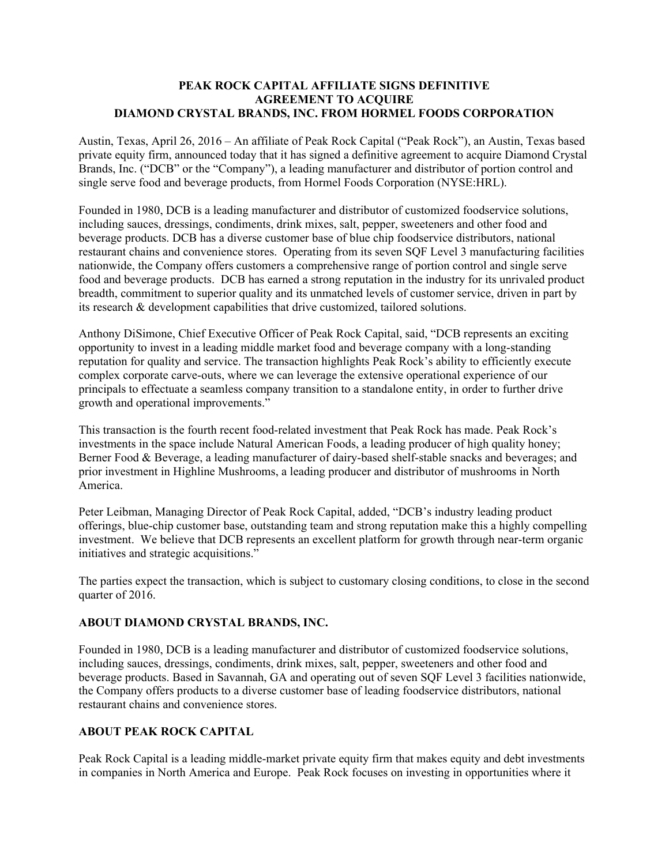## **PEAK ROCK CAPITAL AFFILIATE SIGNS DEFINITIVE AGREEMENT TO ACQUIRE DIAMOND CRYSTAL BRANDS, INC. FROM HORMEL FOODS CORPORATION**

Austin, Texas, April 26, 2016 – An affiliate of Peak Rock Capital ("Peak Rock"), an Austin, Texas based private equity firm, announced today that it has signed a definitive agreement to acquire Diamond Crystal Brands, Inc. ("DCB" or the "Company"), a leading manufacturer and distributor of portion control and single serve food and beverage products, from Hormel Foods Corporation (NYSE:HRL).

Founded in 1980, DCB is a leading manufacturer and distributor of customized foodservice solutions, including sauces, dressings, condiments, drink mixes, salt, pepper, sweeteners and other food and beverage products. DCB has a diverse customer base of blue chip foodservice distributors, national restaurant chains and convenience stores. Operating from its seven SQF Level 3 manufacturing facilities nationwide, the Company offers customers a comprehensive range of portion control and single serve food and beverage products. DCB has earned a strong reputation in the industry for its unrivaled product breadth, commitment to superior quality and its unmatched levels of customer service, driven in part by its research & development capabilities that drive customized, tailored solutions.

Anthony DiSimone, Chief Executive Officer of Peak Rock Capital, said, "DCB represents an exciting opportunity to invest in a leading middle market food and beverage company with a long-standing reputation for quality and service. The transaction highlights Peak Rock's ability to efficiently execute complex corporate carve-outs, where we can leverage the extensive operational experience of our principals to effectuate a seamless company transition to a standalone entity, in order to further drive growth and operational improvements."

This transaction is the fourth recent food-related investment that Peak Rock has made. Peak Rock's investments in the space include Natural American Foods, a leading producer of high quality honey; Berner Food & Beverage, a leading manufacturer of dairy-based shelf-stable snacks and beverages; and prior investment in Highline Mushrooms, a leading producer and distributor of mushrooms in North America.

Peter Leibman, Managing Director of Peak Rock Capital, added, "DCB's industry leading product offerings, blue-chip customer base, outstanding team and strong reputation make this a highly compelling investment. We believe that DCB represents an excellent platform for growth through near-term organic initiatives and strategic acquisitions."

The parties expect the transaction, which is subject to customary closing conditions, to close in the second quarter of 2016.

## **ABOUT DIAMOND CRYSTAL BRANDS, INC.**

Founded in 1980, DCB is a leading manufacturer and distributor of customized foodservice solutions, including sauces, dressings, condiments, drink mixes, salt, pepper, sweeteners and other food and beverage products. Based in Savannah, GA and operating out of seven SQF Level 3 facilities nationwide, the Company offers products to a diverse customer base of leading foodservice distributors, national restaurant chains and convenience stores.

## **ABOUT PEAK ROCK CAPITAL**

Peak Rock Capital is a leading middle-market private equity firm that makes equity and debt investments in companies in North America and Europe. Peak Rock focuses on investing in opportunities where it